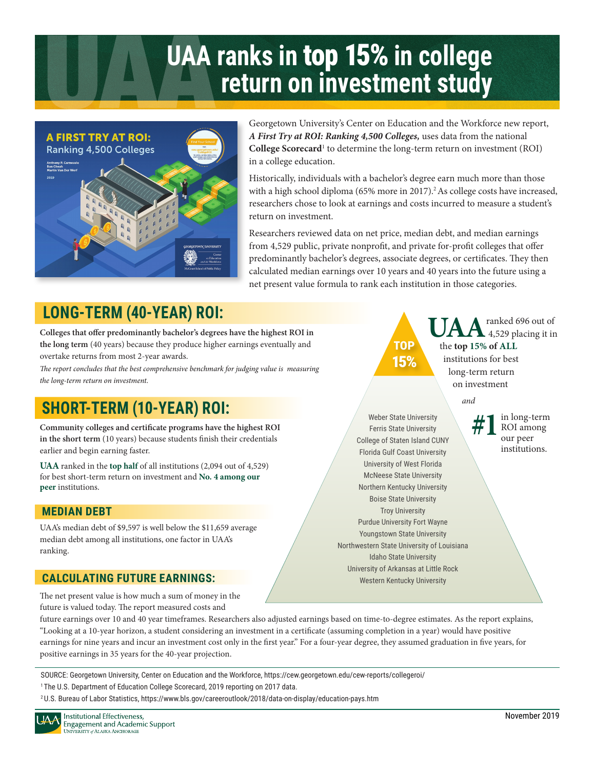# **UAA ranks in** top 15% **in college return on investment study**



Georgetown University's Center on Education and the Workforce new report, *A First Try at ROI: Ranking 4,500 Colleges,* uses data from the national College Scorecard<sup>1</sup> to determine the long-term return on investment (ROI) in a college education.

Historically, individuals with a bachelor's degree earn much more than those with a high school diploma (65% more in 2017).<sup>2</sup> As college costs have increased, researchers chose to look at earnings and costs incurred to measure a student's return on investment.

Researchers reviewed data on net price, median debt, and median earnings from 4,529 public, private nonprofit, and private for-profit colleges that offer predominantly bachelor's degrees, associate degrees, or certificates. They then calculated median earnings over 10 years and 40 years into the future using a net present value formula to rank each institution in those categories.

## **LONG-TERM (40-YEAR) ROI: A PUANE TO A REPORT OF A A PARK A PARK A PARK A PARK A PARK A PARK A PARK A PARK A PARK A PARK A PARK A PARK A PARK A PARK A PARK A PARK A PARK A PARK A PARK A PARK A PARK A PARK A PARK A PARK A**

**Colleges that offer predominantly bachelor's degrees have the highest ROI in the long term** (40 years) because they produce higher earnings eventually and overtake returns from most 2-year awards.

over take returns from most z-year awards.<br>The report concludes that the best comprehensive benchmark for judging value is measuring **15%** *the long-term return on investment.* 

## **SHORT-TERM (10-YEAR) ROI:**

**Community colleges and certificate programs have the highest ROI in the short term** (10 years) because students finish their credentials earlier and begin earning faster.

**UAA** ranked in the **top half** of all institutions (2,094 out of 4,529) for best short-term return on investment and **No. 4 among our peer** institutions.

#### **MEDIAN DEBT**

UAA's median debt of \$9,597 is well below the \$11,659 average median debt among all institutions, one factor in UAA's ranking.

### **CALCULATING FUTURE EARNINGS:**

 Ì TOP

 the **top 15% of ALL**  4,529 placing it in institutions for best long-term return on investment

*and* 

 $\overline{\phantom{0}}$ 

**#1**in long-term our peer institutions.

Ferris State University McNeese State University Weber State University College of Staten Island CUNY Florida Gulf Coast University University of West Florida Northern Kentucky University Boise State University Troy University Purdue University Fort Wayne Youngstown State University Northwestern State University of Louisiana Idaho State University University of Arkansas at Little Rock Western Kentucky University

The net present value is how much a sum of money in the future is valued today. The report measured costs and

future earnings over 10 and 40 year timeframes. Researchers also adjusted earnings based on time-to-degree estimates. As the report explains, "Looking at a 10-year horizon, a student considering an investment in a certificate (assuming completion in a year) would have positive earnings for nine years and incur an investment cost only in the first year." For a four-year degree, they assumed graduation in five years, for positive earnings in 35 years for the 40-year projection.

SOURCE: Georgetown University, Center on Education and the Workforce, https://cew.georgetown.edu/cew-reports/collegeroi/ <sup>1</sup> The U.S. Department of Education College Scorecard, 2019 reporting on 2017 data.

2 U.S. Bureau of Labor Statistics, https://www.bls.gov/careeroutlook/2018/data-on-display/education-pays.htm